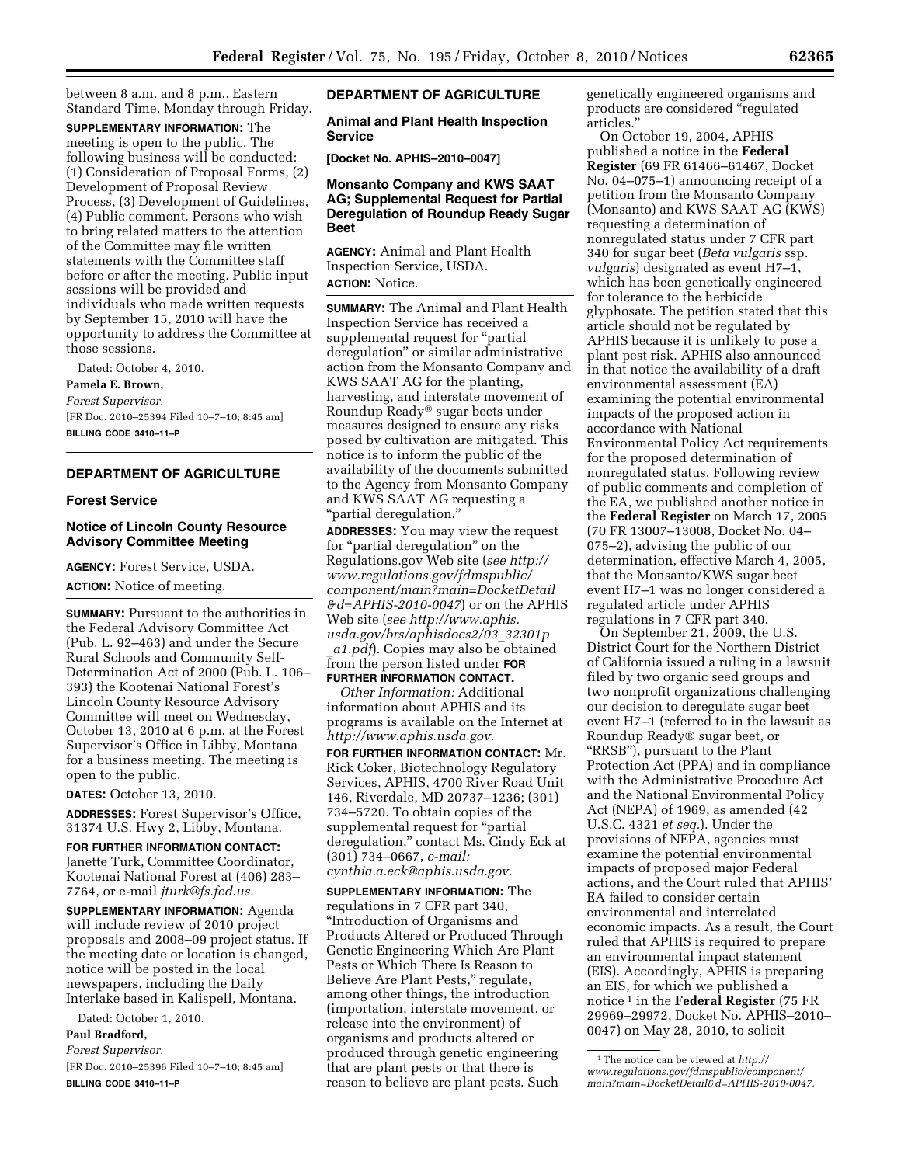between 8 a.m. and 8 p.m., Eastern Standard Time, Monday through Friday.

**SUPPLEMENTARY INFORMATION:** The meeting is open to the public. The following business will be conducted: (1) Consideration of Proposal Forms, (2) Development of Proposal Review Process, (3) Development of Guidelines, (4) Public comment. Persons who wish to bring related matters to the attention of the Committee may file written statements with the Committee staff before or after the meeting. Public input sessions will be provided and individuals who made written requests by September 15, 2010 will have the opportunity to address the Committee at those sessions.

Dated: October 4, 2010.

### **Pamela E. Brown,**

*Forest Supervisor.* 

[FR Doc. 2010–25394 Filed 10–7–10; 8:45 am] **BILLING CODE 3410–11–P** 

#### **DEPARTMENT OF AGRICULTURE**

#### **Forest Service**

#### **Notice of Lincoln County Resource Advisory Committee Meeting**

**AGENCY:** Forest Service, USDA. **ACTION:** Notice of meeting.

**SUMMARY:** Pursuant to the authorities in the Federal Advisory Committee Act (Pub. L. 92–463) and under the Secure Rural Schools and Community Self-Determination Act of 2000 (Pub. L. 106– 393) the Kootenai National Forest's Lincoln County Resource Advisory Committee will meet on Wednesday, October 13, 2010 at 6 p.m. at the Forest Supervisor's Office in Libby, Montana for a business meeting. The meeting is open to the public.

**DATES:** October 13, 2010.

**ADDRESSES:** Forest Supervisor's Office, 31374 U.S. Hwy 2, Libby, Montana.

**FOR FURTHER INFORMATION CONTACT:**  Janette Turk, Committee Coordinator, Kootenai National Forest at (406) 283– 7764, or e-mail *[jturk@fs.fed.us.](mailto:jturk@fs.fed.us)* 

**SUPPLEMENTARY INFORMATION:** Agenda will include review of 2010 project proposals and 2008–09 project status. If the meeting date or location is changed, notice will be posted in the local newspapers, including the Daily Interlake based in Kalispell, Montana.

Dated: October 1, 2010.

# **Paul Bradford,**

*Forest Supervisor.* 

[FR Doc. 2010–25396 Filed 10–7–10; 8:45 am] **BILLING CODE 3410–11–P** 

**DEPARTMENT OF AGRICULTURE** 

**Animal and Plant Health Inspection Service** 

**[Docket No. APHIS–2010–0047]** 

### **Monsanto Company and KWS SAAT AG; Supplemental Request for Partial Deregulation of Roundup Ready Sugar Beet**

**AGENCY:** Animal and Plant Health Inspection Service, USDA. **ACTION:** Notice.

**SUMMARY:** The Animal and Plant Health Inspection Service has received a supplemental request for "partial deregulation'' or similar administrative action from the Monsanto Company and KWS SAAT AG for the planting, harvesting, and interstate movement of Roundup Ready® sugar beets under measures designed to ensure any risks posed by cultivation are mitigated. This notice is to inform the public of the availability of the documents submitted to the Agency from Monsanto Company and KWS SAAT AG requesting a ''partial deregulation.''

**ADDRESSES:** You may view the request for ''partial deregulation'' on the Regulations.gov Web site (*see [http://](http://www.regulations.gov/fdmspublic/component/main?main=DocketDetail&d=APHIS-2010-0047) [www.regulations.gov/fdmspublic/](http://www.regulations.gov/fdmspublic/component/main?main=DocketDetail&d=APHIS-2010-0047) [component/main?main=DocketDetail](http://www.regulations.gov/fdmspublic/component/main?main=DocketDetail&d=APHIS-2010-0047) [&d=APHIS-2010-0047](http://www.regulations.gov/fdmspublic/component/main?main=DocketDetail&d=APHIS-2010-0047)*) or on the APHIS Web site (*see [http://www.aphis.](http://www.aphis.usda.gov/brs/aphisdocs2/03_32301p_a1.pdf) [usda.gov/brs/aphisdocs2/03](http://www.aphis.usda.gov/brs/aphisdocs2/03_32301p_a1.pdf)*\_*32301p* \_*[a1.pdf](http://www.aphis.usda.gov/brs/aphisdocs2/03_32301p_a1.pdf)*). Copies may also be obtained

from the person listed under **FOR FURTHER INFORMATION CONTACT.** 

*Other Information:* Additional information about APHIS and its programs is available on the Internet at *[http://www.aphis.usda.gov.](http://www.aphis.usda.gov)*  **FOR FURTHER INFORMATION CONTACT:** Mr. Rick Coker, Biotechnology Regulatory Services, APHIS, 4700 River Road Unit 146, Riverdale, MD 20737–1236; (301) 734–5720. To obtain copies of the supplemental request for ''partial deregulation,'' contact Ms. Cindy Eck at (301) 734–0667, *e-mail: [cynthia.a.eck@aphis.usda.gov.](mailto:cynthia.a.eck@aphis.usda.gov)* 

**SUPPLEMENTARY INFORMATION:** The regulations in 7 CFR part 340, ''Introduction of Organisms and Products Altered or Produced Through Genetic Engineering Which Are Plant Pests or Which There Is Reason to Believe Are Plant Pests,'' regulate, among other things, the introduction (importation, interstate movement, or release into the environment) of organisms and products altered or produced through genetic engineering that are plant pests or that there is reason to believe are plant pests. Such

genetically engineered organisms and products are considered ''regulated articles.''

On October 19, 2004, APHIS published a notice in the **Federal Register** (69 FR 61466–61467, Docket No. 04–075–1) announcing receipt of a petition from the Monsanto Company (Monsanto) and KWS SAAT AG (KWS) requesting a determination of nonregulated status under 7 CFR part 340 for sugar beet (*Beta vulgaris* ssp. *vulgaris*) designated as event H7–1, which has been genetically engineered for tolerance to the herbicide glyphosate. The petition stated that this article should not be regulated by APHIS because it is unlikely to pose a plant pest risk. APHIS also announced in that notice the availability of a draft environmental assessment (EA) examining the potential environmental impacts of the proposed action in accordance with National Environmental Policy Act requirements for the proposed determination of nonregulated status. Following review of public comments and completion of the EA, we published another notice in the **Federal Register** on March 17, 2005 (70 FR 13007–13008, Docket No. 04– 075–2), advising the public of our determination, effective March 4, 2005, that the Monsanto/KWS sugar beet event H7–1 was no longer considered a regulated article under APHIS regulations in 7 CFR part 340.

On September 21, 2009, the U.S. District Court for the Northern District of California issued a ruling in a lawsuit filed by two organic seed groups and two nonprofit organizations challenging our decision to deregulate sugar beet event H7–1 (referred to in the lawsuit as Roundup Ready® sugar beet, or ''RRSB''), pursuant to the Plant Protection Act (PPA) and in compliance with the Administrative Procedure Act and the National Environmental Policy Act (NEPA) of 1969, as amended (42 U.S.C. 4321 *et seq.*). Under the provisions of NEPA, agencies must examine the potential environmental impacts of proposed major Federal actions, and the Court ruled that APHIS' EA failed to consider certain environmental and interrelated economic impacts. As a result, the Court ruled that APHIS is required to prepare an environmental impact statement (EIS). Accordingly, APHIS is preparing an EIS, for which we published a notice 1 in the **Federal Register** (75 FR 29969–29972, Docket No. APHIS–2010– 0047) on May 28, 2010, to solicit

<sup>1</sup>The notice can be viewed at *[http://](http://www.regulations.gov/fdmspublic/component/main?main=DocketDetail&d=APHIS-2010-0047) [www.regulations.gov/fdmspublic/component/](http://www.regulations.gov/fdmspublic/component/main?main=DocketDetail&d=APHIS-2010-0047) [main?main=DocketDetail&d=APHIS-2010-0047.](http://www.regulations.gov/fdmspublic/component/main?main=DocketDetail&d=APHIS-2010-0047)*